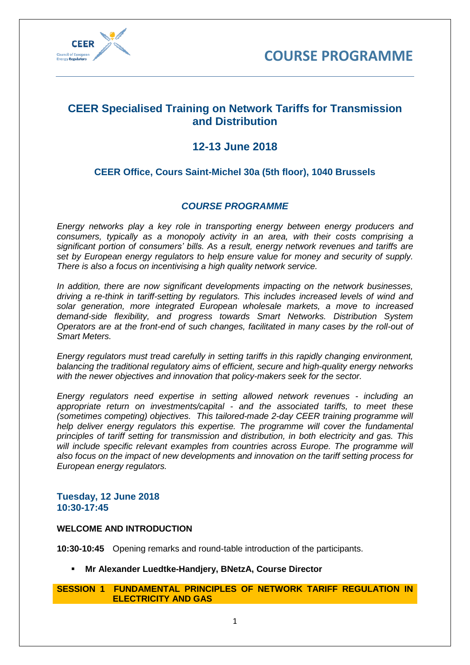



## **CEER Specialised Training on Network Tariffs for Transmission and Distribution**

# **12-13 June 2018**

## **CEER Office, Cours Saint-Michel 30a (5th floor), 1040 Brussels**

## *COURSE PROGRAMME*

*Energy networks play a key role in transporting energy between energy producers and consumers, typically as a monopoly activity in an area, with their costs comprising a significant portion of consumers' bills. As a result, energy network revenues and tariffs are set by European energy regulators to help ensure value for money and security of supply. There is also a focus on incentivising a high quality network service.* 

*In addition, there are now significant developments impacting on the network businesses, driving a re-think in tariff-setting by regulators. This includes increased levels of wind and solar generation, more integrated European wholesale markets, a move to increased demand-side flexibility, and progress towards Smart Networks. Distribution System Operators are at the front-end of such changes, facilitated in many cases by the roll-out of Smart Meters.* 

*Energy regulators must tread carefully in setting tariffs in this rapidly changing environment, balancing the traditional regulatory aims of efficient, secure and high-quality energy networks with the newer objectives and innovation that policy-makers seek for the sector.*

*Energy regulators need expertise in setting allowed network revenues - including an appropriate return on investments/capital - and the associated tariffs, to meet these (sometimes competing) objectives. This tailored-made 2-day CEER training programme will help deliver energy regulators this expertise. The programme will cover the fundamental principles of tariff setting for transmission and distribution, in both electricity and gas. This will include specific relevant examples from countries across Europe. The programme will also focus on the impact of new developments and innovation on the tariff setting process for European energy regulators.*

## **Tuesday, 12 June 2018 10:30-17:45**

### **WELCOME AND INTRODUCTION**

**10:30-10:45** Opening remarks and round-table introduction of the participants.

▪ **Mr Alexander Luedtke-Handjery, BNetzA, Course Director**

### **SESSION 1 FUNDAMENTAL PRINCIPLES OF NETWORK TARIFF REGULATION IN ELECTRICITY AND GAS**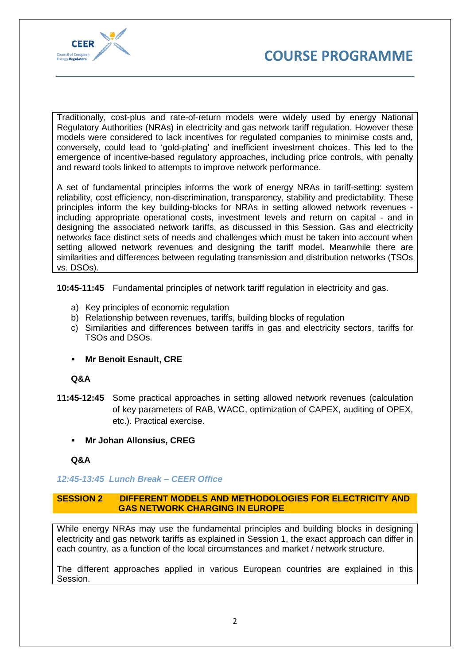



Traditionally, cost-plus and rate-of-return models were widely used by energy National Regulatory Authorities (NRAs) in electricity and gas network tariff regulation. However these models were considered to lack incentives for regulated companies to minimise costs and, conversely, could lead to 'gold-plating' and inefficient investment choices. This led to the emergence of incentive-based regulatory approaches, including price controls, with penalty and reward tools linked to attempts to improve network performance.

A set of fundamental principles informs the work of energy NRAs in tariff-setting: system reliability, cost efficiency, non-discrimination, transparency, stability and predictability. These principles inform the key building-blocks for NRAs in setting allowed network revenues including appropriate operational costs, investment levels and return on capital - and in designing the associated network tariffs, as discussed in this Session. Gas and electricity networks face distinct sets of needs and challenges which must be taken into account when setting allowed network revenues and designing the tariff model. Meanwhile there are similarities and differences between regulating transmission and distribution networks (TSOs vs. DSOs).

**10:45-11:45** Fundamental principles of network tariff regulation in electricity and gas.

- a) Key principles of economic regulation
- b) Relationship between revenues, tariffs, building blocks of regulation
- c) Similarities and differences between tariffs in gas and electricity sectors, tariffs for TSOs and DSOs.
- **Mr Benoit Esnault, CRE**

#### **Q&A**

- **11:45-12:45** Some practical approaches in setting allowed network revenues (calculation of key parameters of RAB, WACC, optimization of CAPEX, auditing of OPEX, etc.). Practical exercise.
	- **Mr Johan Allonsius, CREG**

#### **Q&A**

### *12:45-13:45 Lunch Break – CEER Office*

#### **SESSION 2 DIFFERENT MODELS AND METHODOLOGIES FOR ELECTRICITY AND GAS NETWORK CHARGING IN EUROPE**

While energy NRAs may use the fundamental principles and building blocks in designing electricity and gas network tariffs as explained in Session 1, the exact approach can differ in each country, as a function of the local circumstances and market / network structure.

The different approaches applied in various European countries are explained in this Session.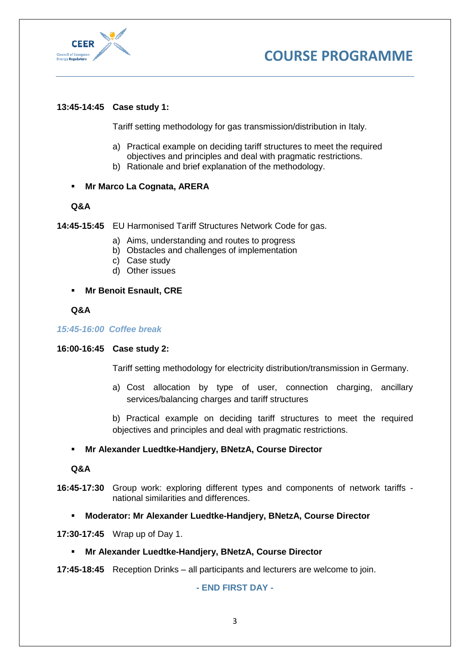



## **13:45-14:45 Case study 1:**

Tariff setting methodology for gas transmission/distribution in Italy.

- a) Practical example on deciding tariff structures to meet the required objectives and principles and deal with pragmatic restrictions.
- b) Rationale and brief explanation of the methodology.

### ▪ **Mr Marco La Cognata, ARERA**

#### **Q&A**

**14:45-15:45** EU Harmonised Tariff Structures Network Code for gas.

- a) Aims, understanding and routes to progress
- b) Obstacles and challenges of implementation
- c) Case study
- d) Other issues
- **Mr Benoit Esnault, CRE**

#### **Q&A**

*15:45-16:00 Coffee break*

### **16:00-16:45 Case study 2:**

Tariff setting methodology for electricity distribution/transmission in Germany.

a) Cost allocation by type of user, connection charging, ancillary services/balancing charges and tariff structures

b) Practical example on deciding tariff structures to meet the required objectives and principles and deal with pragmatic restrictions.

### ▪ **Mr Alexander Luedtke-Handjery, BNetzA, Course Director**

#### **Q&A**

- **16:45-17:30** Group work: exploring different types and components of network tariffs national similarities and differences.
	- **Moderator: Mr Alexander Luedtke-Handjery, BNetzA, Course Director**

**17:30-17:45** Wrap up of Day 1.

▪ **Mr Alexander Luedtke-Handjery, BNetzA, Course Director**

**17:45-18:45** Reception Drinks – all participants and lecturers are welcome to join.

**- END FIRST DAY -**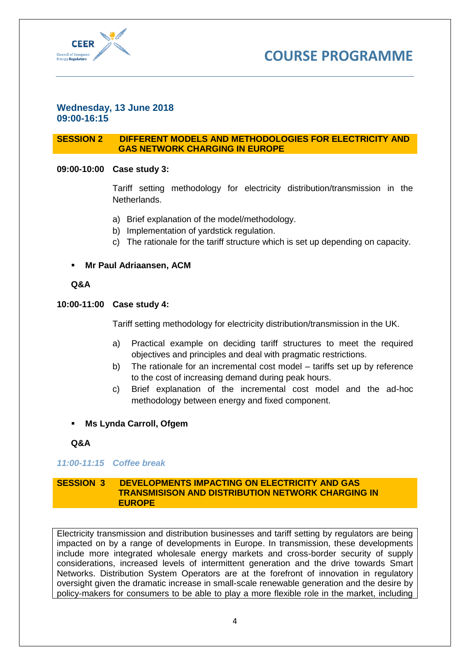



### **Wednesday, 13 June 2018 09:00-16:15**

### **SESSION 2 DIFFERENT MODELS AND METHODOLOGIES FOR ELECTRICITY AND GAS NETWORK CHARGING IN EUROPE**

## **09:00-10:00 Case study 3:**

Tariff setting methodology for electricity distribution/transmission in the Netherlands.

- a) Brief explanation of the model/methodology.
- b) Implementation of yardstick regulation.
- c) The rationale for the tariff structure which is set up depending on capacity.

## **Mr Paul Adriaansen, ACM**

### **Q&A**

### **10:00-11:00 Case study 4:**

Tariff setting methodology for electricity distribution/transmission in the UK.

- a) Practical example on deciding tariff structures to meet the required objectives and principles and deal with pragmatic restrictions.
- b) The rationale for an incremental cost model tariffs set up by reference to the cost of increasing demand during peak hours.
- c) Brief explanation of the incremental cost model and the ad-hoc methodology between energy and fixed component.
- **Ms Lynda Carroll, Ofgem**

**Q&A**

### *11:00-11:15 Coffee break*

#### **SESSION 3 DEVELOPMENTS IMPACTING ON ELECTRICITY AND GAS TRANSMISISON AND DISTRIBUTION NETWORK CHARGING IN EUROPE**

Electricity transmission and distribution businesses and tariff setting by regulators are being impacted on by a range of developments in Europe. In transmission, these developments include more integrated wholesale energy markets and cross-border security of supply considerations, increased levels of intermittent generation and the drive towards Smart Networks. Distribution System Operators are at the forefront of innovation in regulatory oversight given the dramatic increase in small-scale renewable generation and the desire by policy-makers for consumers to be able to play a more flexible role in the market, including